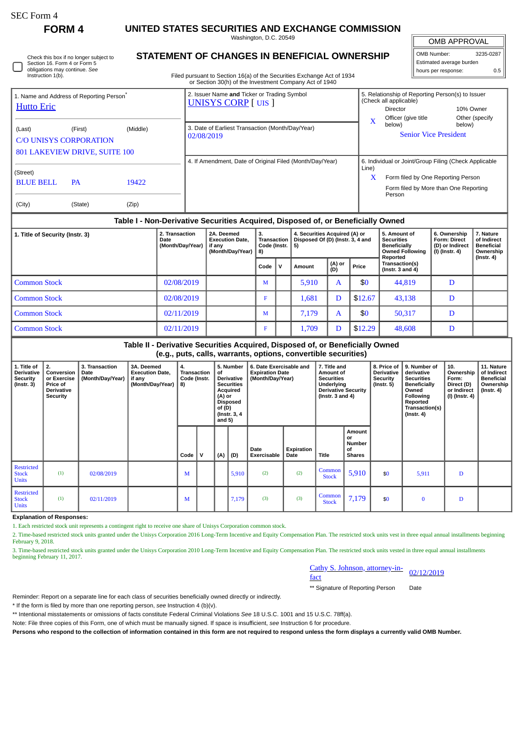| SEC Form 4 |  |
|------------|--|
|------------|--|

П

**FORM 4 UNITED STATES SECURITIES AND EXCHANGE COMMISSION**

Washington, D.C. 20549

| Check this box if no longer subject to |
|----------------------------------------|
| Section 16. Form 4 or Form 5           |
| obligations may continue. See          |
| Instruction 1(b).                      |

## **STATEMENT OF CHANGES IN BENEFICIAL OWNERSHIP**

Filed pursuant to Section 16(a) of the Securities Exchange Act of 1934 or Section 30(h) of the Investment Company Act of 1940

| <b>OMB APPROVAL</b>        |  |  |  |  |  |  |
|----------------------------|--|--|--|--|--|--|
| OMB Number:<br>3235-0287   |  |  |  |  |  |  |
| Estimated average burden   |  |  |  |  |  |  |
| hours per response:<br>0.5 |  |  |  |  |  |  |

| 1. Name and Address of Reporting Person <sup>®</sup><br><b>Hutto Eric</b> |                                          |                | 2. Issuer Name and Ticker or Trading Symbol<br><b>UNISYS CORP</b> [UIS ] |            | 5. Relationship of Reporting Person(s) to Issuer<br>(Check all applicable)<br>Director                                                         | 10% Owner                |  |
|---------------------------------------------------------------------------|------------------------------------------|----------------|--------------------------------------------------------------------------|------------|------------------------------------------------------------------------------------------------------------------------------------------------|--------------------------|--|
| (Last)<br><b>C/O UNISYS CORPORATION</b>                                   | (First)<br>801 LAKEVIEW DRIVE, SUITE 100 | (Middle)       | 3. Date of Earliest Transaction (Month/Day/Year)<br>02/08/2019           | X          | Officer (give title)<br>below)<br><b>Senior Vice President</b>                                                                                 | Other (specify<br>below) |  |
| (Street)<br><b>BLUE BELL</b><br>(City)                                    | <b>PA</b><br>(State)                     | 19422<br>(Zip) | 4. If Amendment, Date of Original Filed (Month/Day/Year)                 | Line)<br>X | 6. Individual or Joint/Group Filing (Check Applicable<br>Form filed by One Reporting Person<br>Form filed by More than One Reporting<br>Person |                          |  |

## **Table I - Non-Derivative Securities Acquired, Disposed of, or Beneficially Owned**

| 1. Title of Security (Instr. 3) | 2. Transaction<br>Date<br>(Month/Day/Year) | 2A. Deemed<br><b>Execution Date.</b><br>if any<br>(Month/Day/Year) | з.<br>Transaction<br>  8) |       | Code (Instr. $  5$ ) |               | 4. Securities Acquired (A) or<br>Disposed Of (D) (Instr. 3, 4 and |                                        |   | 5. Amount of<br><b>Securities</b><br><b>Beneficially</b><br><b>Owned Following</b><br>Reported | 6. Ownership<br><b>Form: Direct</b><br>(D) or Indirect<br>(I) (Instr. 4) | 7. Nature<br>of Indirect<br><b>Beneficial</b><br>Ownership<br>$($ Instr. 4 $)$ |
|---------------------------------|--------------------------------------------|--------------------------------------------------------------------|---------------------------|-------|----------------------|---------------|-------------------------------------------------------------------|----------------------------------------|---|------------------------------------------------------------------------------------------------|--------------------------------------------------------------------------|--------------------------------------------------------------------------------|
|                                 |                                            |                                                                    | Code                      | . I v | Amount               | (A) or<br>(D) | Price                                                             | Transaction(s)<br>( $Instr. 3 and 4$ ) |   |                                                                                                |                                                                          |                                                                                |
| <b>Common Stock</b>             | 02/08/2019                                 |                                                                    | M                         |       | 5,910                | A             | \$0                                                               | 44,819                                 | D |                                                                                                |                                                                          |                                                                                |
| <b>Common Stock</b>             | 02/08/2019                                 |                                                                    |                           |       | 1,681                | D             | \$12.67                                                           | 43,138                                 | D |                                                                                                |                                                                          |                                                                                |
| <b>Common Stock</b>             | 02/11/2019                                 |                                                                    | м                         |       | 7.179                | A             | \$0                                                               | 50,317                                 | D |                                                                                                |                                                                          |                                                                                |
| <b>Common Stock</b>             | 02/11/2019                                 |                                                                    |                           |       | 1,709                | D             | \$12.29                                                           | 48,608                                 | D |                                                                                                |                                                                          |                                                                                |

## **Table II - Derivative Securities Acquired, Disposed of, or Beneficially Owned (e.g., puts, calls, warrants, options, convertible securities)**

| 1. Title of<br>Derivative<br>Security<br>(Instr. 3) | 2.<br>Conversion  <br>or Exercise<br><b>Price of</b><br><b>Derivative</b><br><b>Security</b> | 3. Transaction<br>Date<br>(Month/Day/Year) | 3A. Deemed<br><b>Execution Date,</b><br>if any<br>(Month/Day/Year) | 4.<br>Transaction<br>Code (Instr.<br>  8) |   | 5. Number<br>of<br><b>Derivative</b><br><b>Securities</b><br>Acquired<br>(A) or<br><b>Disposed</b><br>of(D)<br>(Instr. 3, 4<br>and $5)$ |       | 6. Date Exercisable and<br><b>Expiration Date</b><br>(Month/Day/Year) |                           | 7. Title and<br>Amount of<br><b>Securities</b><br>Underlying<br><b>Derivative Security</b><br>$($ Instr. 3 and 4 $)$ |                                                      | 8. Price of<br><b>Derivative</b><br>Security<br>$($ lnstr. 5 $)$ | 9. Number of<br>derivative<br><b>Securities</b><br><b>Beneficially</b><br>Owned<br><b>Following</b><br>Reported<br>Transaction(s)<br>$($ Instr. 4 $)$ | 10.<br>Ownership<br>Form:<br>Direct (D)<br>or Indirect<br>(I) (Instr. 4) | 11. Nature<br>of Indirect<br><b>Beneficial</b><br>Ownership<br>(Instr. 4) |
|-----------------------------------------------------|----------------------------------------------------------------------------------------------|--------------------------------------------|--------------------------------------------------------------------|-------------------------------------------|---|-----------------------------------------------------------------------------------------------------------------------------------------|-------|-----------------------------------------------------------------------|---------------------------|----------------------------------------------------------------------------------------------------------------------|------------------------------------------------------|------------------------------------------------------------------|-------------------------------------------------------------------------------------------------------------------------------------------------------|--------------------------------------------------------------------------|---------------------------------------------------------------------------|
|                                                     |                                                                                              |                                            |                                                                    | Code                                      | v | (A)                                                                                                                                     | (D)   | Date<br>Exercisable                                                   | Expiration<br><b>Date</b> | <b>Title</b>                                                                                                         | Amount<br>or<br><b>Number</b><br>of<br><b>Shares</b> |                                                                  |                                                                                                                                                       |                                                                          |                                                                           |
| <b>Restricted</b><br><b>Stock</b><br><b>Units</b>   | (1)                                                                                          | 02/08/2019                                 |                                                                    | M                                         |   |                                                                                                                                         | 5,910 | (2)                                                                   | (2)                       | Common<br><b>Stock</b>                                                                                               | 5,910                                                | \$0                                                              | 5,911                                                                                                                                                 | D                                                                        |                                                                           |
| <b>Restricted</b><br><b>Stock</b><br><b>Units</b>   | (1)                                                                                          | 02/11/2019                                 |                                                                    | M                                         |   |                                                                                                                                         | 7,179 | (3)                                                                   | (3)                       | Common<br><b>Stock</b>                                                                                               | 7,179                                                | \$0                                                              | $\bf{0}$                                                                                                                                              | D                                                                        |                                                                           |

**Explanation of Responses:**

1. Each restricted stock unit represents a contingent right to receive one share of Unisys Corporation common stock.

2. Time-based restricted stock units granted under the Unisys Corporation 2016 Long-Term Incentive and Equity Compensation Plan. The restricted stock units vest in three equal annual installments beginning February 9, 2018.

3. Time-based restricted stock units granted under the Unisys Corporation 2010 Long-Term Incentive and Equity Compensation Plan. The restricted stock units vested in three equal annual installments beginning February 11, 2017.

| Cathy S. Johnson, attorney-in- |            |
|--------------------------------|------------|
| fact                           | 02/12/2019 |

\*\* Signature of Reporting Person Date

Reminder: Report on a separate line for each class of securities beneficially owned directly or indirectly.

\* If the form is filed by more than one reporting person, *see* Instruction 4 (b)(v).

\*\* Intentional misstatements or omissions of facts constitute Federal Criminal Violations *See* 18 U.S.C. 1001 and 15 U.S.C. 78ff(a).

Note: File three copies of this Form, one of which must be manually signed. If space is insufficient, *see* Instruction 6 for procedure.

**Persons who respond to the collection of information contained in this form are not required to respond unless the form displays a currently valid OMB Number.**